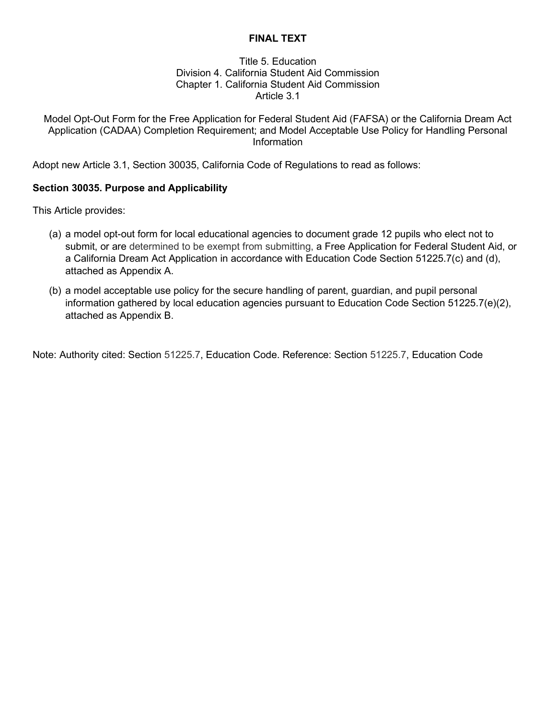# **FINAL TEXT**

### Title 5. Education Division 4. California Student Aid Commission Chapter 1. California Student Aid Commission Article 3.1

Model Opt-Out Form for the Free Application for Federal Student Aid (FAFSA) or the California Dream Act Application (CADAA) Completion Requirement; and Model Acceptable Use Policy for Handling Personal Information

Adopt new Article 3.1, Section 30035, California Code of Regulations to read as follows:

### **Section 30035. Purpose and Applicability**

This Article provides:

- (a) a model opt-out form for local educational agencies to document grade 12 pupils who elect not to submit, or are determined to be exempt from submitting, a Free Application for Federal Student Aid, or a California Dream Act Application in accordance with Education Code Section 51225.7(c) and (d), attached as Appendix A.
- (b) a model acceptable use policy for the secure handling of parent, guardian, and pupil personal information gathered by local education agencies pursuant to Education Code Section 51225.7(e)(2), attached as Appendix B.

Note: Authority cited: Section 51225.7, Education Code. Reference: Section 51225.7, Education Code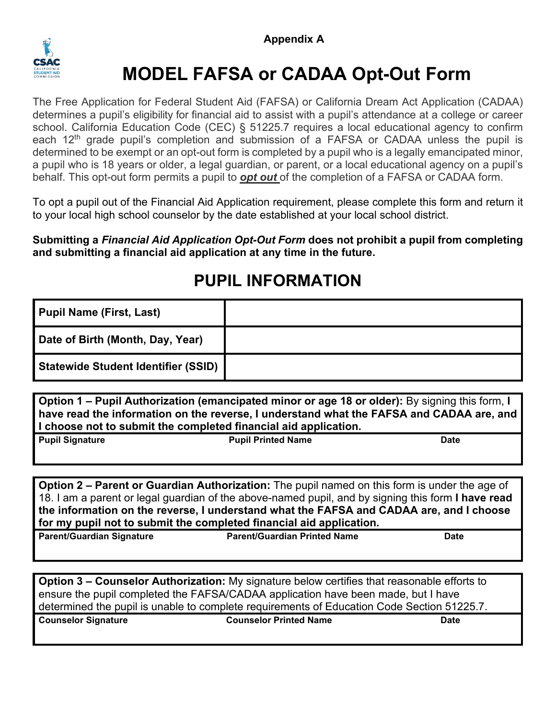

# **MODEL FAFSA or CADAA Opt-Out Form**

The Free Application for Federal Student Aid (FAFSA) or California Dream Act Application (CADAA) determines a pupil's eligibility for financial aid to assist with a pupil's attendance at a college or career school. California Education Code (CEC) § 51225.7 requires a local educational agency to confirm each 12<sup>th</sup> grade pupil's completion and submission of a FAFSA or CADAA unless the pupil is determined to be exempt or an opt-out form is completed by a pupil who is a legally emancipated minor, a pupil who is 18 years or older, a legal guardian, or parent, or a local educational agency on a pupil's behalf. This opt-out form permits a pupil to *opt out* of the completion of a FAFSA or CADAA form.

To opt a pupil out of the Financial Aid Application requirement, please complete this form and return it to your local high school counselor by the date established at your local school district.

**Submitting a** *Financial Aid Application Opt-Out Form* **does not prohibit a pupil from completing and submitting a financial aid application at any time in the future.**

# **PUPIL INFORMATION**

| Pupil Name (First, Last)                   |  |
|--------------------------------------------|--|
| Date of Birth (Month, Day, Year)           |  |
| <b>Statewide Student Identifier (SSID)</b> |  |

**Option 1 – Pupil Authorization (emancipated minor or age 18 or older):** By signing this form, **I have read the information on the reverse, I understand what the FAFSA and CADAA are, and I choose not to submit the completed financial aid application.**

| <b>Pupil Signature</b> | <b>Pupil Printed Name</b> | <b>Date</b> |
|------------------------|---------------------------|-------------|
|                        |                           |             |

**Option 2 – Parent or Guardian Authorization:** The pupil named on this form is under the age of 18. I am a parent or legal guardian of the above-named pupil, and by signing this form **I have read the information on the reverse, I understand what the FAFSA and CADAA are, and I choose for my pupil not to submit the completed financial aid application.**

| <b>Parent/Guardian Signature</b> | <b>Parent/Guardian Printed Name</b> | Date |
|----------------------------------|-------------------------------------|------|
|                                  |                                     |      |

**Option 3 – Counselor Authorization:** My signature below certifies that reasonable efforts to ensure the pupil completed the FAFSA/CADAA application have been made, but I have determined the pupil is unable to complete requirements of Education Code Section 51225.7.

**Counselor Signature Counselor Printed Name Date**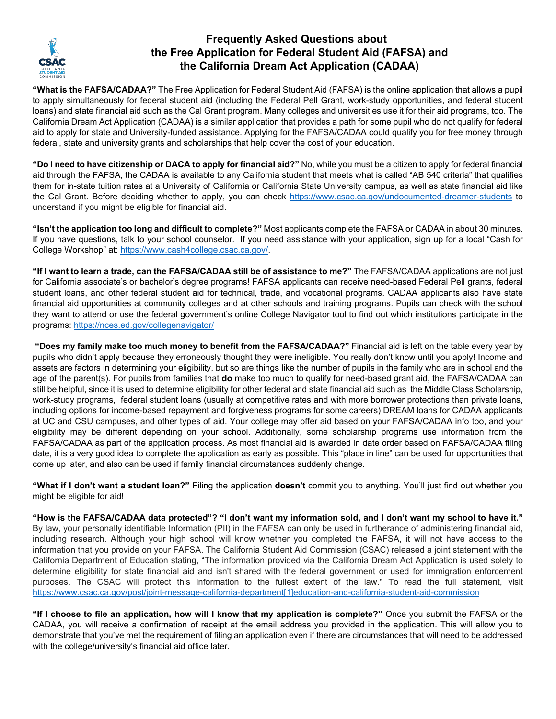

# **Frequently Asked Questions about the Free Application for Federal Student Aid (FAFSA) and the California Dream Act Application (CADAA)**

**"What is the FAFSA/CADAA?"** The Free Application for Federal Student Aid (FAFSA) is the online application that allows a pupil to apply simultaneously for federal student aid (including the Federal Pell Grant, work-study opportunities, and federal student loans) and state financial aid such as the Cal Grant program. Many colleges and universities use it for their aid programs, too. The California Dream Act Application (CADAA) is a similar application that provides a path for some pupil who do not qualify for federal aid to apply for state and University-funded assistance. Applying for the FAFSA/CADAA could qualify you for free money through federal, state and university grants and scholarships that help cover the cost of your education.

**"Do I need to have citizenship or DACA to apply for financial aid?"** No, while you must be a citizen to apply for federal financial aid through the FAFSA, the CADAA is available to any California student that meets what is called "AB 540 criteria" that qualifies them for in-state tuition rates at a University of California or California State University campus, as well as state financial aid like the Cal Grant. Before deciding whether to apply, you can check [https://www.csac.ca.gov/undocumented-dreamer-students](https://gcc02.safelinks.protection.outlook.com/?url=https%3A%2F%2Fwww.csac.ca.gov%2Fundocumented-dreamer-students&data=04%7C01%7CSynequeen.Alasa-as%40csac.ca.gov%7Caa4bc06ac4e842195cf108d9c99af87b%7C0813557df08148d4a5b7aa30aacd839a%7C0%7C0%7C637762489724433139%7CUnknown%7CTWFpbGZsb3d8eyJWIjoiMC4wLjAwMDAiLCJQIjoiV2luMzIiLCJBTiI6Ik1haWwiLCJXVCI6Mn0%3D%7C3000&sdata=uuI8W5NgH4fCVKn00ebIYa2Rvf7Ab4CHtftK2I4QhIY%3D&reserved=0) to understand if you might be eligible for financial aid.

**"Isn't the application too long and difficult to complete?"** Most applicants complete the FAFSA or CADAA in about 30 minutes. If you have questions, talk to your school counselor. If you need assistance with your application, sign up for a local "Cash for College Workshop" at[: https://www.cash4college.csac.ca.gov/.](https://www.cash4college.csac.ca.gov/) 

**"If I want to learn a trade, can the FAFSA/CADAA still be of assistance to me?"** The FAFSA/CADAA applications are not just for California associate's or bachelor's degree programs! FAFSA applicants can receive need-based Federal Pell grants, federal student loans, and other federal student aid for technical, trade, and vocational programs. CADAA applicants also have state financial aid opportunities at community colleges and at other schools and training programs. Pupils can check with the school they want to attend or use the federal government's online College Navigator tool to find out which institutions participate in the programs:<https://nces.ed.gov/collegenavigator/>

**"Does my family make too much money to benefit from the FAFSA/CADAA?"** Financial aid is left on the table every year by pupils who didn't apply because they erroneously thought they were ineligible. You really don't know until you apply! Income and assets are factors in determining your eligibility, but so are things like the number of pupils in the family who are in school and the age of the parent(s). For pupils from families that **do** make too much to qualify for need-based grant aid, the FAFSA/CADAA can still be helpful, since it is used to determine eligibility for other federal and state financial aid such as the Middle Class Scholarship, work-study programs, federal student loans (usually at competitive rates and with more borrower protections than private loans, including options for income-based repayment and forgiveness programs for some careers) DREAM loans for CADAA applicants at UC and CSU campuses, and other types of aid. Your college may offer aid based on your FAFSA/CADAA info too, and your eligibility may be different depending on your school. Additionally, some scholarship programs use information from the FAFSA/CADAA as part of the application process. As most financial aid is awarded in date order based on FAFSA/CADAA filing date, it is a very good idea to complete the application as early as possible. This "place in line" can be used for opportunities that come up later, and also can be used if family financial circumstances suddenly change.

**"What if I don't want a student loan?"** Filing the application **doesn't** commit you to anything. You'll just find out whether you might be eligible for aid!

**"How is the FAFSA/CADAA data protected"? "I don't want my information sold, and I don't want my school to have it."**  By law, your personally identifiable Information (PII) in the FAFSA can only be used in furtherance of administering financial aid, including research. Although your high school will know whether you completed the FAFSA, it will not have access to the information that you provide on your FAFSA. The California Student Aid Commission (CSAC) released a joint statement with the California Department of Education stating, "The information provided via the California Dream Act Application is used solely to determine eligibility for state financial aid and isn't shared with the federal government or used for immigration enforcement purposes. The CSAC will protect this information to the fullest extent of the law." To read the full statement, visit [https://www.csac.ca.gov/post/joint-message-california-department\[1\]education-and-california-student-aid-commission](https://www.csac.ca.gov/post/joint-message-california-department%5b1%5deducation-and-california-student-aid-commission)

**"If I choose to file an application, how will I know that my application is complete?"** Once you submit the FAFSA or the CADAA, you will receive a confirmation of receipt at the email address you provided in the application. This will allow you to demonstrate that you've met the requirement of filing an application even if there are circumstances that will need to be addressed with the college/university's financial aid office later.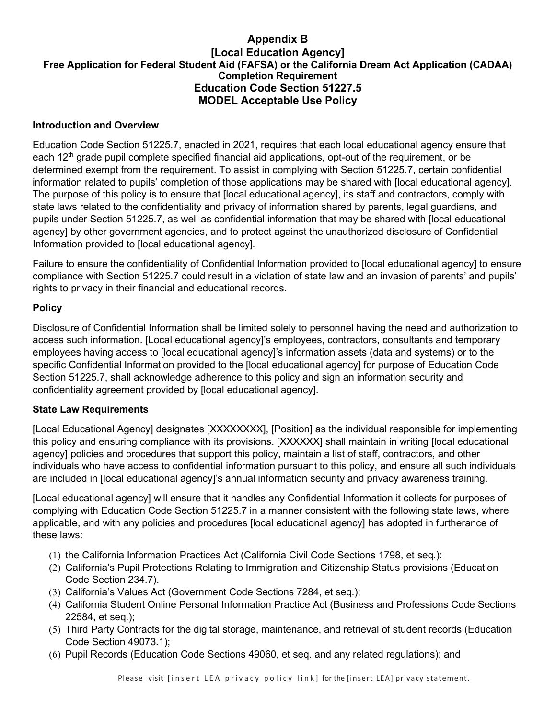# **Appendix B [Local Education Agency] Free Application for Federal Student Aid (FAFSA) or the California Dream Act Application (CADAA) Completion Requirement Education Code Section 51227.5 MODEL Acceptable Use Policy**

#### **Introduction and Overview**

Education Code Section 51225.7, enacted in 2021, requires that each local educational agency ensure that each 12th grade pupil complete specified financial aid applications, opt-out of the requirement, or be determined exempt from the requirement. To assist in complying with Section 51225.7, certain confidential information related to pupils' completion of those applications may be shared with [local educational agency]. The purpose of this policy is to ensure that [local educational agency], its staff and contractors, comply with state laws related to the confidentiality and privacy of information shared by parents, legal guardians, and pupils under Section 51225.7, as well as confidential information that may be shared with [local educational agency] by other government agencies, and to protect against the unauthorized disclosure of Confidential Information provided to [local educational agency].

Failure to ensure the confidentiality of Confidential Information provided to [local educational agency] to ensure compliance with Section 51225.7 could result in a violation of state law and an invasion of parents' and pupils' rights to privacy in their financial and educational records.

### **Policy**

Disclosure of Confidential Information shall be limited solely to personnel having the need and authorization to access such information. [Local educational agency]'s employees, contractors, consultants and temporary employees having access to [local educational agency]'s information assets (data and systems) or to the specific Confidential Information provided to the [local educational agency] for purpose of Education Code Section 51225.7, shall acknowledge adherence to this policy and sign an information security and confidentiality agreement provided by [local educational agency].

#### **State Law Requirements**

[Local Educational Agency] designates [XXXXXXXX], [Position] as the individual responsible for implementing this policy and ensuring compliance with its provisions. [XXXXXX] shall maintain in writing [local educational agency] policies and procedures that support this policy, maintain a list of staff, contractors, and other individuals who have access to confidential information pursuant to this policy, and ensure all such individuals are included in [local educational agency]'s annual information security and privacy awareness training.

[Local educational agency] will ensure that it handles any Confidential Information it collects for purposes of complying with Education Code Section 51225.7 in a manner consistent with the following state laws, where applicable, and with any policies and procedures [local educational agency] has adopted in furtherance of these laws:

- (1) the California Information Practices Act (California Civil Code Sections 1798, et seq.):
- (2) California's Pupil Protections Relating to Immigration and Citizenship Status provisions (Education Code Section 234.7).
- (3) California's Values Act (Government Code Sections 7284, et seq.);
- (4) California Student Online Personal Information Practice Act (Business and Professions Code Sections 22584, et seq.);
- (5) Third Party Contracts for the digital storage, maintenance, and retrieval of student records (Education Code Section 49073.1);
- (6) Pupil Records (Education Code Sections 49060, et seq. and any related regulations); and